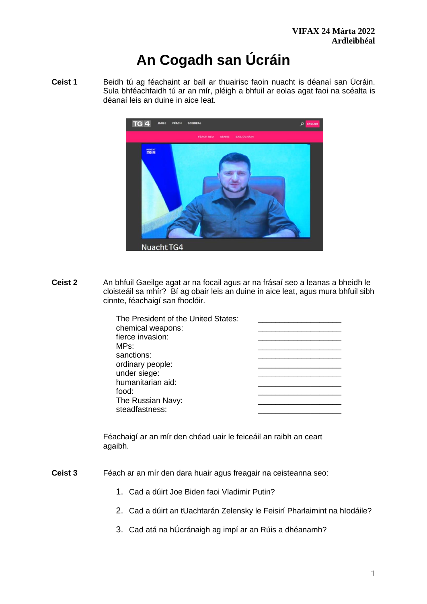# **An Cogadh san Úcráin**

**Ceist 1** Beidh tú ag féachaint ar ball ar thuairisc faoin nuacht is déanaí san Úcráin. Sula bhféachfaidh tú ar an mír, pléigh a bhfuil ar eolas agat faoi na scéalta is déanaí leis an duine in aice leat.



**Ceist 2** An bhfuil Gaeilge agat ar na focail agus ar na frásaí seo a leanas a bheidh le cloisteáil sa mhír? Bí ag obair leis an duine in aice leat, agus mura bhfuil sibh cinnte, féachaigí san fhoclóir.

| The President of the United States: |  |
|-------------------------------------|--|
| chemical weapons:                   |  |
| fierce invasion:                    |  |
| MPs:                                |  |
| sanctions:                          |  |
| ordinary people:                    |  |
| under siege:                        |  |
| humanitarian aid:                   |  |
| food:                               |  |
| The Russian Navy:                   |  |
| steadfastness:                      |  |
|                                     |  |

Féachaigí ar an mír den chéad uair le feiceáil an raibh an ceart agaibh.

- **Ceist 3** Féach ar an mír den dara huair agus freagair na ceisteanna seo:
	- 1. Cad a dúirt Joe Biden faoi Vladimir Putin?
	- 2. Cad a dúirt an tUachtarán Zelensky le Feisirí Pharlaimint na hIodáile?
	- 3. Cad atá na hÚcránaigh ag impí ar an Rúis a dhéanamh?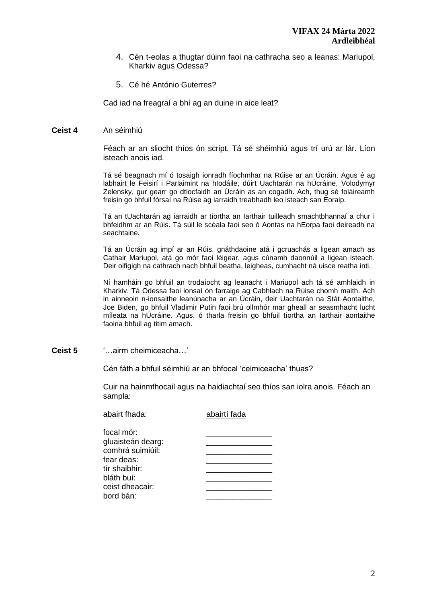- 4. Cén t-eolas a thugtar dúinn faoi na cathracha seo a leanas: Mariupol, Kharkiv agus Odessa?
- 5. Cé hé António Guterres?

Cad iad na freagraí a bhí ag an duine in aice leat?

#### **Ceist 4** An séimhiú

Féach ar an sliocht thíos ón script. Tá sé shéimhiú agus trí urú ar lár. Líon isteach anois iad.

Tá sé beagnach mí ó tosaigh ionradh fíochmhar na Rúise ar an Úcráin. Agus é ag labhairt le Feisirí i Parlaimint na hIodáile, dúirt Uachtarán na hÚcráine, Volodymyr Zelensky, gur gearr go dtiocfaidh an Úcráin as an cogadh. Ach, thug sé foláireamh freisin go bhfuil fórsaí na Rúise ag iarraidh treabhadh leo isteach san Eoraip.

Tá an tUachtarán ag iarraidh ar tíortha an Iarthair tuilleadh smachtbhannaí a chur i bhfeidhm ar an Rúis. Tá súil le scéala faoi seo ó Aontas na hEorpa faoi deireadh na seachtaine.

Tá an Úcráin ag impí ar an Rúis, gnáthdaoine atá i gcruachás a ligean amach as Cathair Mariupol, atá go mór faoi léigear, agus cúnamh daonnúil a ligean isteach. Deir oifigigh na cathrach nach bhfuil beatha, leigheas, cumhacht ná uisce reatha inti.

Ní hamháin go bhfuil an trodaíocht ag leanacht i Mariupol ach tá sé amhlaidh in Kharkiv. Tá Odessa faoi ionsaí ón farraige ag Cabhlach na Rúise chomh maith. Ach in ainneoin n-ionsaithe leanúnacha ar an Úcráin, deir Uachtarán na Stát Aontaithe, Joe Biden, go bhfuil Vladimir Putin faoi brú ollmhór mar gheall ar seasmhacht lucht míleata na hÚcráine. Agus, ó tharla freisin go bhfuil tíortha an Iarthair aontaithe faoina bhfuil ag titim amach.

**Ceist 5** '…airm cheimiceacha…'

Cén fáth a bhfuil séimhiú ar an bhfocal 'ceimiceacha' thuas?

Cuir na hainmfhocail agus na haidiachtaí seo thíos san iolra anois. Féach an sampla:

| abairt fhada:     | abairtí fada |
|-------------------|--------------|
| focal mór:        |              |
| gluaisteán dearg: |              |
| comhrá suimiúil:  |              |
| fear deas:        |              |
| tír shaibhir:     |              |
| bláth buí:        |              |
| ceist dheacair:   |              |
| bord bán:         |              |
|                   |              |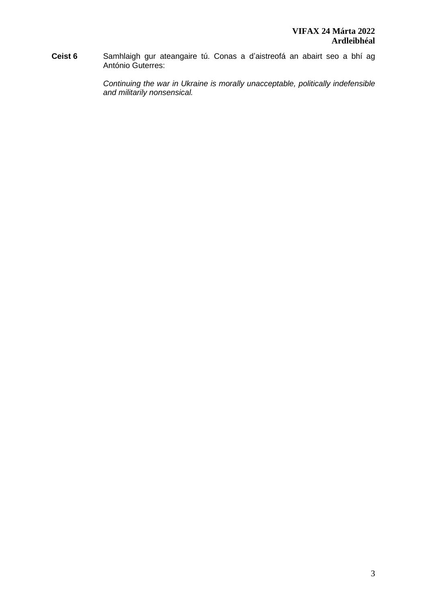**Ceist 6** Samhlaigh gur ateangaire tú. Conas a d'aistreofá an abairt seo a bhí ag António Guterres:

> *Continuing the war in Ukraine is morally unacceptable, politically indefensible and militarily nonsensical.*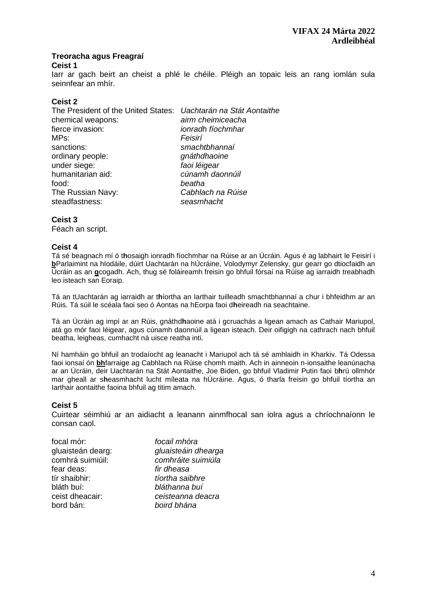## **Treoracha agus Freagraí**

#### **Ceist 1**

Iarr ar gach beirt an cheist a phlé le chéile. Pléigh an topaic leis an rang iomlán sula seinnfear an mhír.

## **Ceist 2**

| The President of the United States: Uachtarán na Stát Aontaithe |                   |
|-----------------------------------------------------------------|-------------------|
| chemical weapons:                                               | airm cheimiceacha |
| fierce invasion:                                                | ionradh fíochmhar |
| MPs:                                                            | Feisirí           |
| sanctions:                                                      | smachtbhannaí     |
| ordinary people:                                                | gnáthdhaoine      |
| under siege:                                                    | faoi léigear      |
| humanitarian aid:                                               | cúnamh daonnúil   |
| food:                                                           | beatha            |
| The Russian Navy:                                               | Cabhlach na Rúise |
| steadfastness:                                                  | seasmhacht        |
|                                                                 |                   |

## **Ceist 3**

Féach an script.

## **Ceist 4**

Tá sé beagnach mí ó t**h**osaigh ionradh fíochmhar na Rúise ar an Úcráin. Agus é ag labhairt le Feisirí i **b**Parlaimint na hIodáile, dúirt Uachtarán na hÚcráine, Volodymyr Zelensky, gur gearr go dtiocfaidh an Úcráin as an **g**cogadh. Ach, thug sé foláireamh freisin go bhfuil fórsaí na Rúise ag iarraidh treabhadh leo isteach san Eoraip.

Tá an tUachtarán ag iarraidh ar t**h**íortha an Iarthair tuilleadh smachtbhannaí a chur i bhfeidhm ar an Rúis. Tá súil le scéala faoi seo ó Aontas na hEorpa faoi d**h**eireadh na seachtaine.

Tá an Úcráin ag impí ar an Rúis, gnáthd**h**aoine atá i gcruachás a ligean amach as Cathair Mariupol, atá go mór faoi léigear, agus cúnamh daonnúil a ligean isteach. Deir oifigigh na cathrach nach bhfuil beatha, leigheas, cumhacht ná uisce reatha inti.

Ní hamháin go bhfuil an trodaíocht ag leanacht i Mariupol ach tá sé amhlaidh in Kharkiv. Tá Odessa faoi ionsaí ón **bh**farraige ag Cabhlach na Rúise chomh maith. Ach in ainneoin n-ionsaithe leanúnacha ar an Úcráin, deir Uachtarán na Stát Aontaithe, Joe Biden, go bhfuil Vladimir Putin faoi b**h**rú ollmhór mar gheall ar s**h**easmhacht lucht míleata na hÚcráine. Agus, ó tharla freisin go bhfuil tíortha an Iarthair aontaithe faoina bhfuil ag titim amach.

## **Ceist 5**

Cuirtear séimhiú ar an aidiacht a leanann ainmfhocal san iolra agus a chríochnaíonn le consan caol.

| focal mór:        | focail mhóra        |
|-------------------|---------------------|
| gluaisteán dearg: | gluaisteáin dhearga |
| comhrá suimiúil:  | comhráite suimiúla  |
| fear deas:        | fir dheasa          |
| tír shaibhir:     | tíortha saibhre     |
| bláth buí:        | bláthanna buí       |
| ceist dheacair:   | ceisteanna deacra   |
| bord bán:         | boird bhána         |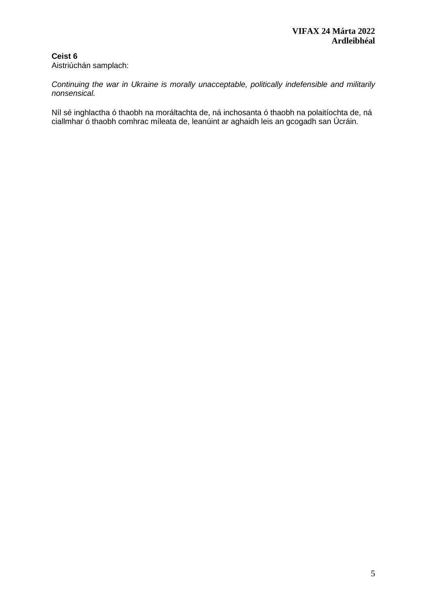## **Ceist 6** Aistriúchán samplach:

*Continuing the war in Ukraine is morally unacceptable, politically indefensible and militarily nonsensical.*

Níl sé inghlactha ó thaobh na moráltachta de, ná inchosanta ó thaobh na polaitíochta de, ná ciallmhar ó thaobh comhrac míleata de, leanúint ar aghaidh leis an gcogadh san Úcráin.